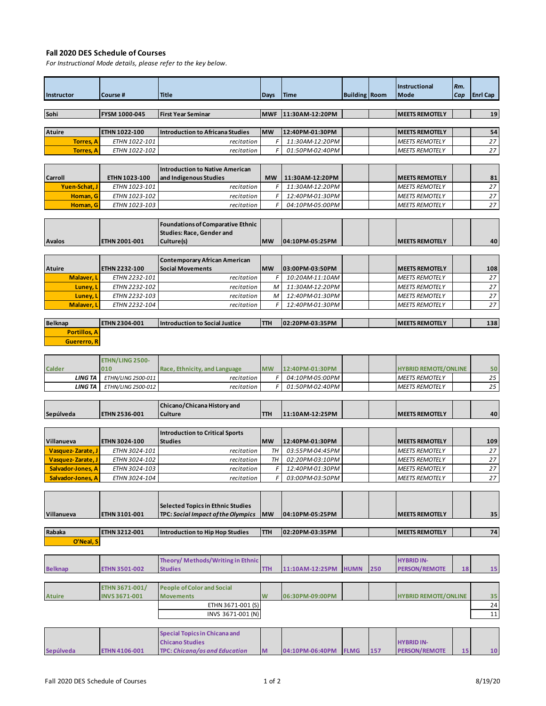## **Fall 2020 DES Schedule of Courses**

*For Instructional Mode details, please refer to the key below.*

| <b>Instructor</b> | l Course #           | <b>Title</b>                           | Days        | <b>Time</b>     | <b>Building Room</b> | <b>Instructional</b><br><b>Mode</b> | Rm.<br>Cap | <b>Enrl Cap</b> |
|-------------------|----------------------|----------------------------------------|-------------|-----------------|----------------------|-------------------------------------|------------|-----------------|
|                   |                      |                                        |             |                 |                      |                                     |            |                 |
| Sohi              | <b>FYSM 1000-045</b> | <b>First Year Seminar</b>              | <b>IMWF</b> | 11:30AM-12:20PM |                      | <b>IMEETS REMOTELY</b>              |            | 19              |
|                   |                      |                                        |             |                 |                      |                                     |            |                 |
| Atuire            | <b>ETHN 1022-100</b> | Introduction to Africana Studies       | <b>MW</b>   | 12:40PM-01:30PM |                      | <b>IMEETS REMOTELY</b>              |            | 54              |
| <b>Torres, A</b>  | ETHN 1022-101        | recitation                             | F           | 11:30AM-12:20PM |                      | <b>MEETS REMOTELY</b>               |            | 27              |
| <b>Torres, A</b>  | <b>ETHN 1022-102</b> | recitation                             | F           | 01:50PM-02:40PM |                      | <b>MEETS REMOTELY</b>               |            | 27              |
|                   |                      |                                        |             |                 |                      |                                     |            |                 |
|                   |                      | <b>Introduction to Native American</b> |             |                 |                      |                                     |            |                 |

|                |                      | <b>Introduction to Native American</b> |      |                 |                        |    |
|----------------|----------------------|----------------------------------------|------|-----------------|------------------------|----|
| <b>Carroll</b> | <b>ETHN 1023-100</b> | and Indigenous Studies                 | MW I | 11:30AM-12:20PM | <b>IMEETS REMOTELY</b> | 81 |
| Yuen-Schat. J  | <i>ETHN 1023-101</i> | recitation I                           |      | 11:30AM-12:20PM | <b>MEETS REMOTELY</b>  | 27 |
| Homan, G       | <b>ETHN 1023-102</b> | recitation                             |      | 12:40PM-01:30PM | <b>MEETS REMOTELY</b>  | 27 |
| Homan, G       | ETHN 1023-103        | recitation                             |      | 04:10PM-05:00PM | <b>MEETS REMOTELY</b>  | 27 |
|                |                      |                                        |      |                 |                        |    |

|               |                      | Foundations of Comparative Ethnic |           |                  |  |                        |    |
|---------------|----------------------|-----------------------------------|-----------|------------------|--|------------------------|----|
|               |                      | <b>Studies: Race. Gender and</b>  |           |                  |  |                        |    |
| <b>Avalos</b> | <b>ETHN 2001-001</b> | Culture(s)                        | <b>MW</b> | 104:10PM-05:25PM |  | <b>IMEETS REMOTELY</b> | 40 |

|               |                      | Contemporary African American |            |                 |  |                        |                 |
|---------------|----------------------|-------------------------------|------------|-----------------|--|------------------------|-----------------|
| <b>Atuire</b> | <b>ETHN 2232-100</b> | <b>Social Movements</b>       | <b>IMW</b> | 03:00PM-03:50PM |  | <b>IMEETS REMOTELY</b> | 108             |
| Malaver, L    | ETHN 2232-101        | recitation                    |            | 10:20AM-11:10AM |  | <b>MEETS REMOTELY</b>  | 27              |
| Luney, L      | ETHN 2232-102        | recitation                    | м          | 11:30AM-12:20PM |  | <b>MEETS REMOTELY</b>  | 27 <sup>1</sup> |
| Luney, L      | ETHN 2232-103        | recitation                    | м          | 12:40PM-01:30PM |  | <b>MEETS REMOTELY</b>  | 27              |
| Malaver, L    | ETHN 2232-104        | recitation                    |            | 12:40PM-01:30PM |  | <b>MEETS REMOTELY</b>  | 27 <sup>1</sup> |
|               |                      |                               |            |                 |  |                        |                 |

| <b>Belknap</b>       | <b>ETHN 2304-001</b> | Introduction to Social Justice | <b>ITH</b> | $102:20PM-03:35PM$ |  | <b>IMEETS REMOTELY</b> | 138 |
|----------------------|----------------------|--------------------------------|------------|--------------------|--|------------------------|-----|
| <b>Portillos, A.</b> |                      |                                |            |                    |  |                        |     |
| Guererro. R          |                      |                                |            |                    |  |                        |     |

|        |         | <b>ETHN/LING 2500-</b> |                               |           |                 |  |                             |    |
|--------|---------|------------------------|-------------------------------|-----------|-----------------|--|-----------------------------|----|
| Calder |         | 010                    | Race. Ethnicity, and Language | <b>MW</b> | 12:40PM-01:30PM |  | <b>HYBRID REMOTE/ONLINE</b> | 50 |
|        | LING TA | ETHN/LING 2500-011     | recitation                    |           | 04:10PM-05:00PM |  | <b>MEETS REMOTELY</b>       | 25 |
|        | LING TA | ETHN/LING 2500-012     | recitation                    |           | 01:50PM-02:40PM |  | <b>MEETS REMOTELY</b>       | 25 |

|                   |                      | Chicano/Chicana History and            |            |                 |                        |     |
|-------------------|----------------------|----------------------------------------|------------|-----------------|------------------------|-----|
| Sepúlveda         | ETHN 2536-001        | <b>Culture</b>                         | <b>TTH</b> | 11:10AM-12:25PM | <b>IMEETS REMOTELY</b> | 40  |
|                   |                      |                                        |            |                 |                        |     |
|                   |                      | <b>Introduction to Critical Sports</b> |            |                 |                        |     |
| Villanueva        | <b>ETHN 3024-100</b> | <b>Studies</b>                         | <b>MW</b>  | 12:40PM-01:30PM | <b>IMEETS REMOTELY</b> | 109 |
| Vasquez-Zarate, J | <b>ETHN 3024-101</b> | recitation                             | TH         | 03:55PM-04:45PM | <b>MEETS REMOTELY</b>  | 27  |
| Vasquez-Zarate, J | ETHN 3024-102        | recitation                             | TH         | 02:20PM-03:10PM | <b>MEETS REMOTELY</b>  | 27  |
| Salvador-Jones, A | ETHN 3024-103        | recitation                             |            | 12:40PM-01:30PM | <b>MEETS REMOTELY</b>  | 27  |
| Salvador-Jones, A | ETHN 3024-104        | recitation                             |            | 03:00PM-03:50PM | <b>MEETS REMOTELY</b>  | 27  |

| Villanueva | <b>ETHN 3101-001</b> | Selected Topics in Ethnic Studies<br><b>TPC: Social Impact of the Olympics</b> | IMW        | 104:10PM-05:25PM |  | <b>IMEETS REMOTELY</b> | 35 <sub>1</sub> |
|------------|----------------------|--------------------------------------------------------------------------------|------------|------------------|--|------------------------|-----------------|
| Rabaka     | <b>ETHN 3212-001</b> | Introduction to Hip Hop Studies                                                | <b>TTH</b> | 102:20PM-03:35PM |  | <b>IMEETS REMOTELY</b> | 74              |

**O'Neal, S**

| <b>Belknap</b> | <b>ETHN 3501-002</b>                   | Theory/ Methods/Writing in Ethnic<br><b>Studies</b>                                                    | <b>TTH</b> | 11:10AM-12:25PM | <b>HUMN</b> | 250 | <b>HYBRID IN-</b><br><b>PERSON/REMOTE</b> | 18 | 15             |
|----------------|----------------------------------------|--------------------------------------------------------------------------------------------------------|------------|-----------------|-------------|-----|-------------------------------------------|----|----------------|
| <b>Atuire</b>  | ETHN 3671-001/<br><b>INVS 3671-001</b> | <b>People of Color and Social</b><br><b>Movements</b><br>ETHN 3671-001 (S)<br>INVS 3671-001 (N)        | W          | 06:30PM-09:00PM |             |     | <b>HYBRID REMOTE/ONLINE</b>               |    | 35<br>24<br>11 |
| Sepúlveda      | ETHN 4106-001                          | <b>Special Topics in Chicana and</b><br><b>Chicano Studies</b><br><b>TPC: Chicana/os and Education</b> | M          | 04:10PM-06:40PM | <b>FLMG</b> | 157 | <b>HYBRID IN-</b><br><b>PERSON/REMOTE</b> | 15 | 10             |